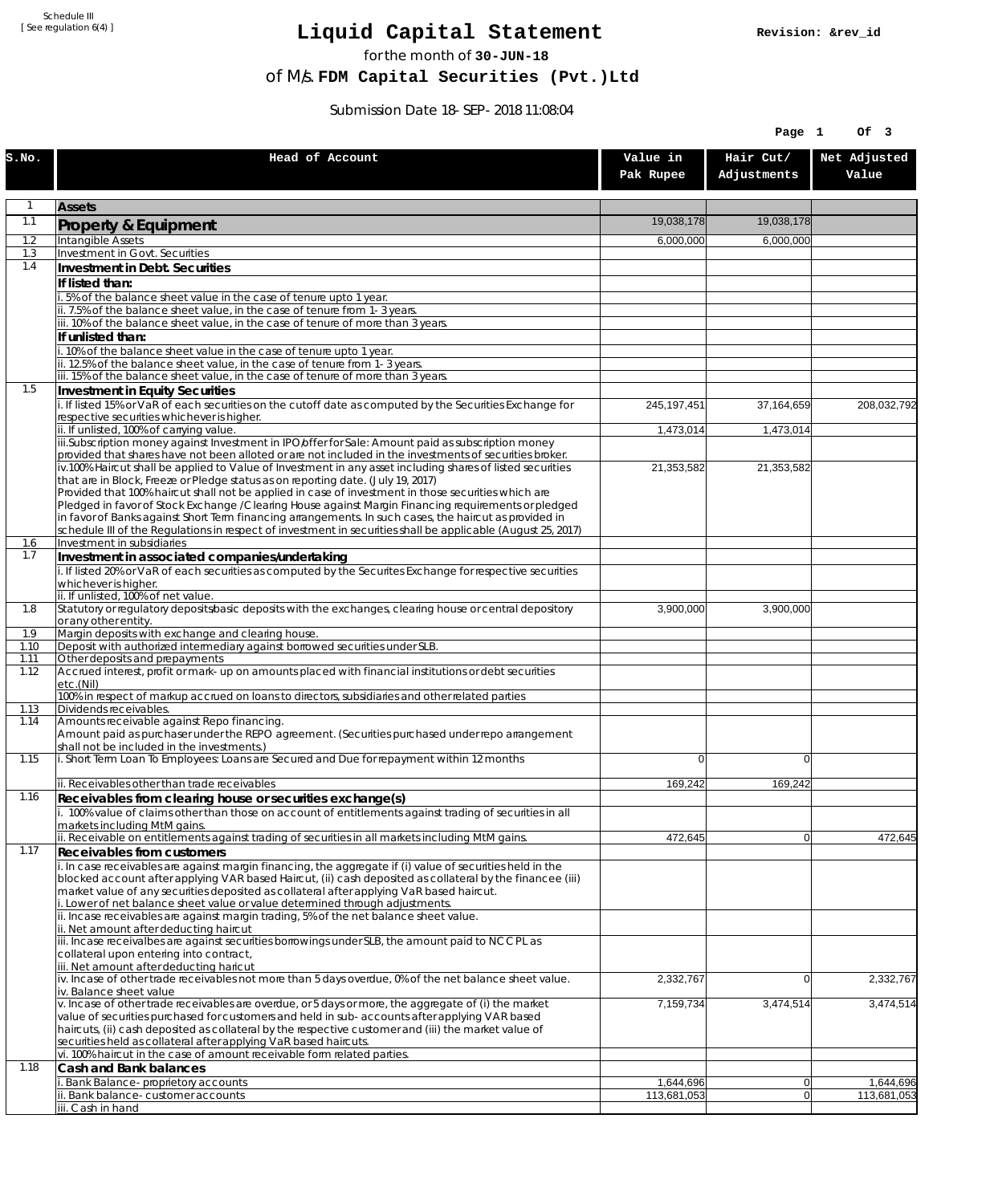Schedule III [ See regulation 6(4) ]

## **Liquid Capital Statement**

for the month of **30-JUN-18**

of M/s. **FDM Capital Securities (Pvt.)Ltd**

Submission Date 18-SEP-2018 11:08:04

|              |                                                                                                                                                                                                               | Page 1                |                          |                       |
|--------------|---------------------------------------------------------------------------------------------------------------------------------------------------------------------------------------------------------------|-----------------------|--------------------------|-----------------------|
| S.NO.        | Head of Account                                                                                                                                                                                               | Value in<br>Pak Rupee | Hair Cut/<br>Adjustments | Net Adjusted<br>Value |
| $\mathbf{1}$ | <b>Assets</b>                                                                                                                                                                                                 |                       |                          |                       |
| 1.1          | Property & Equipment                                                                                                                                                                                          | 19,038,178            | 19.038.178               |                       |
| 1.2          | Intangible Assets                                                                                                                                                                                             | 6,000,000             | 6,000,000                |                       |
| 1.3          | Investment in Govt. Securities                                                                                                                                                                                |                       |                          |                       |
| 1.4          | Investment in Debt. Securities                                                                                                                                                                                |                       |                          |                       |
|              | If listed than:<br>5% of the balance sheet value in the case of tenure upto 1 year.                                                                                                                           |                       |                          |                       |
|              | ii. 7.5% of the balance sheet value, in the case of tenure from 1-3 years.                                                                                                                                    |                       |                          |                       |
|              | iii. 10% of the balance sheet value, in the case of tenure of more than 3 years.                                                                                                                              |                       |                          |                       |
|              | If unlisted than:<br>10% of the balance sheet value in the case of tenure upto 1 year.                                                                                                                        |                       |                          |                       |
|              | ii. 12.5% of the balance sheet value, in the case of tenure from 1-3 years.                                                                                                                                   |                       |                          |                       |
|              | iii. 15% of the balance sheet value, in the case of tenure of more than 3 years.                                                                                                                              |                       |                          |                       |
| 1.5          | <b>Investment in Equity Securities</b>                                                                                                                                                                        |                       |                          |                       |
|              | i. If listed 15% or VaR of each securities on the cutoff date as computed by the Securities Exchange for<br>respective securities whichever is higher.                                                        | 245, 197, 451         | 37,164,659               | 208,032,792           |
|              | ii. If unlisted, 100% of carrying value.                                                                                                                                                                      | 1,473,014             | 1,473,014                |                       |
|              | iii.Subscription money against Investment in IPO/offer for Sale: Amount paid as subscription money<br>provided that shares have not been alloted or are not included in the investments of securities broker. |                       |                          |                       |
|              | $iv.100\%$ Haircut shall be applied to Value of Investment in any asset including shares of listed securities                                                                                                 | 21,353,582            | 21,353,582               |                       |
|              | that are in Block, Freeze or Pledge status as on reporting date. (July 19, 2017)                                                                                                                              |                       |                          |                       |
|              | Provided that 100% haircut shall not be applied in case of investment in those securities which are<br>Pledged in favor of Stock Exchange / Clearing House against Margin Financing requirements or pledged   |                       |                          |                       |
|              | in favor of Banks against Short Term financing arrangements. In such cases, the haircut as provided in                                                                                                        |                       |                          |                       |
|              | schedule III of the Regulations in respect of investment in securities shall be applicable (August 25, 2017)                                                                                                  |                       |                          |                       |
| 1.6<br>1.7   | Investment in subsidiaries<br>Investment in associated companies/undertaking                                                                                                                                  |                       |                          |                       |
|              | i. If listed 20% or VaR of each securities as computed by the Securites Exchange for respective securities                                                                                                    |                       |                          |                       |
|              | whichever is higher.                                                                                                                                                                                          |                       |                          |                       |
| 1.8          | ii. If unlisted, 100% of net value.<br>Statutory or regulatory deposits/basic deposits with the exchanges, clearing house or central depository                                                               | 3,900,000             | 3,900,000                |                       |
|              | or any other entity.                                                                                                                                                                                          |                       |                          |                       |
| 1.9          | Margin deposits with exchange and clearing house.<br>Deposit with authorized intermediary against borrowed securities under SLB.                                                                              |                       |                          |                       |
| 1.10<br>1.11 | Other deposits and prepayments                                                                                                                                                                                |                       |                          |                       |
| 1.12         | Accrued interest, profit or mark-up on amounts placed with financial institutions or debt securities<br>etc.(Nil)                                                                                             |                       |                          |                       |
|              | 100% in respect of markup accrued on loans to directors, subsidiaries and other related parties                                                                                                               |                       |                          |                       |
| 1.13<br>1.14 | Dividends receivables.<br>Amounts receivable against Repo financing.                                                                                                                                          |                       |                          |                       |
|              | Amount paid as purchaser under the REPO agreement. (Securities purchased under repo arrangement<br>shall not be included in the investments.)                                                                 |                       |                          |                       |
| 1.15         | i. Short Term Loan To Employees: Loans are Secured and Due for repayment within 12 months                                                                                                                     | $\Omega$              | 0                        |                       |
|              | ii. Receivables other than trade receivables                                                                                                                                                                  | 169.242               | 169,242                  |                       |
| 1.16         | Receivables from clearing house or securities exchange(s)                                                                                                                                                     |                       |                          |                       |
|              | i. 100% value of claims other than those on account of entitlements against trading of securities in all<br>markets including MtM gains.                                                                      |                       |                          |                       |
|              | ii. Receivable on entitlements against trading of securities in all markets including MtM gains.                                                                                                              | 472,645               | $\overline{0}$           | 472,645               |
| 1.17         | Receivables from customers<br>i. In case receivables are against margin financing, the aggregate if (i) value of securities held in the                                                                       |                       |                          |                       |
|              | blocked account after applying VAR based Haircut, (ii) cash deposited as collateral by the financee (iii)                                                                                                     |                       |                          |                       |
|              | market value of any securities deposited as collateral after applying VaR based haircut.                                                                                                                      |                       |                          |                       |
|              | i. Lower of net balance sheet value or value determined through adjustments.<br>ii. Incase receivables are against margin trading, 5% of the net balance sheet value.                                         |                       |                          |                       |
|              | ii. Net amount after deducting haircut                                                                                                                                                                        |                       |                          |                       |
|              | iii. Incase receivalbes are against securities borrowings under SLB, the amount paid to NCCPL as<br>collateral upon entering into contract,                                                                   |                       |                          |                       |
|              | iii. Net amount after deducting haricut                                                                                                                                                                       |                       |                          |                       |
|              | iv. Incase of other trade receivables not more than 5 days overdue, 0% of the net balance sheet value.                                                                                                        | 2,332,767             | 0                        | 2,332,767             |
|              | iv. Balance sheet value<br>v. Incase of other trade receivables are overdue, or 5 days or more, the aggregate of (i) the market                                                                               | 7,159,734             | 3,474,514                | 3,474,514             |
|              | value of securities purchased for customers and held in sub-accounts after applying VAR based                                                                                                                 |                       |                          |                       |
|              | haircuts, (ii) cash deposited as collateral by the respective customer and (iii) the market value of                                                                                                          |                       |                          |                       |
|              | securities held as collateral after applying VaR based haircuts.<br>vi. 100% haircut in the case of amount receivable form related parties.                                                                   |                       |                          |                       |
| 1.18         | Cash and Bank balances                                                                                                                                                                                        |                       |                          |                       |
|              | Bank Balance-proprietory accounts                                                                                                                                                                             | 1,644,696             | $\overline{0}$           | 1,644,696             |
|              | ii. Bank balance-customer accounts<br>iii. Cash in hand                                                                                                                                                       | 113,681,053           | 0                        | 113,681,053           |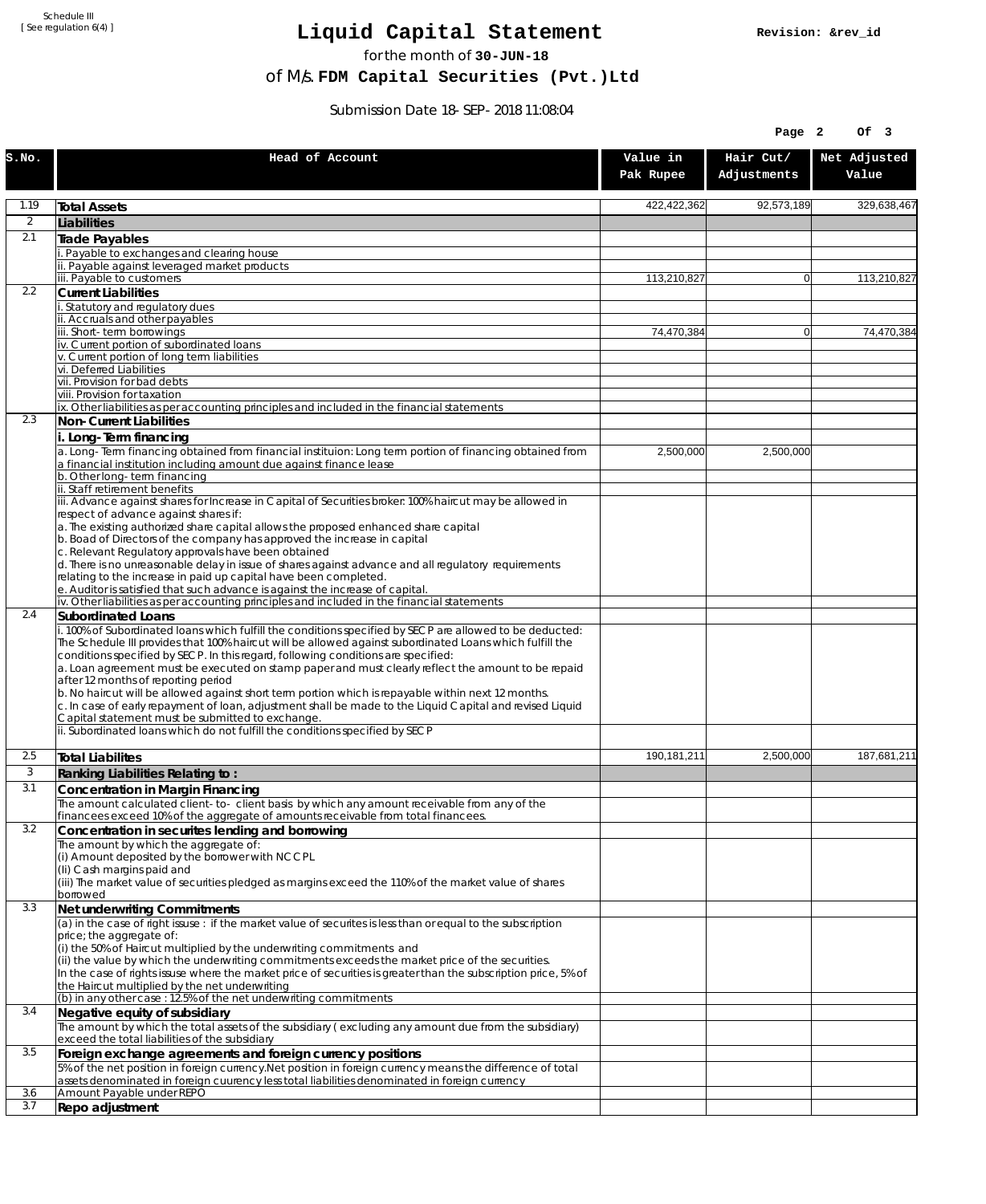Schedule III [ See regulation 6(4) ]

## **Liquid Capital Statement**

for the month of **30-JUN-18**

of M/s. **FDM Capital Securities (Pvt.)Ltd**

Submission Date 18-SEP-2018 11:08:04

|                |                                                                                                                                                                                                                                                                                                                                                                                                                                                                                                                                                              |                       | Page 2                   | Of 3                  |
|----------------|--------------------------------------------------------------------------------------------------------------------------------------------------------------------------------------------------------------------------------------------------------------------------------------------------------------------------------------------------------------------------------------------------------------------------------------------------------------------------------------------------------------------------------------------------------------|-----------------------|--------------------------|-----------------------|
| S.NO.          | Head of Account                                                                                                                                                                                                                                                                                                                                                                                                                                                                                                                                              | Value in<br>Pak Rupee | Hair Cut/<br>Adjustments | Net Adjusted<br>Value |
| 1.19           | <b>Total Assets</b>                                                                                                                                                                                                                                                                                                                                                                                                                                                                                                                                          | 422,422,362           | 92,573,189               | 329,638,467           |
| $\overline{2}$ | Liabilities                                                                                                                                                                                                                                                                                                                                                                                                                                                                                                                                                  |                       |                          |                       |
| 2.1            | Trade Payables                                                                                                                                                                                                                                                                                                                                                                                                                                                                                                                                               |                       |                          |                       |
|                | Payable to exchanges and clearing house<br>ii. Payable against leveraged market products                                                                                                                                                                                                                                                                                                                                                                                                                                                                     |                       |                          |                       |
|                | iii. Payable to customers                                                                                                                                                                                                                                                                                                                                                                                                                                                                                                                                    | 113,210,827           | $\overline{0}$           | 113,210,827           |
| 2.2            | <b>Current Liabilities</b>                                                                                                                                                                                                                                                                                                                                                                                                                                                                                                                                   |                       |                          |                       |
|                | Statutory and regulatory dues                                                                                                                                                                                                                                                                                                                                                                                                                                                                                                                                |                       |                          |                       |
|                | ii. Accruals and other payables<br>iii. Short-term borrowings                                                                                                                                                                                                                                                                                                                                                                                                                                                                                                | 74,470,384            | $\overline{0}$           | 74.470.384            |
|                | iv. Current portion of subordinated loans                                                                                                                                                                                                                                                                                                                                                                                                                                                                                                                    |                       |                          |                       |
|                | v. Current portion of long term liabilities                                                                                                                                                                                                                                                                                                                                                                                                                                                                                                                  |                       |                          |                       |
|                | vi. Deferred Liabilities<br>vii. Provision for bad debts                                                                                                                                                                                                                                                                                                                                                                                                                                                                                                     |                       |                          |                       |
|                | viii. Provision for taxation                                                                                                                                                                                                                                                                                                                                                                                                                                                                                                                                 |                       |                          |                       |
|                | ix. Other liabilities as per accounting principles and included in the financial statements                                                                                                                                                                                                                                                                                                                                                                                                                                                                  |                       |                          |                       |
| 2.3            | Non-Current Liabilities                                                                                                                                                                                                                                                                                                                                                                                                                                                                                                                                      |                       |                          |                       |
|                | Long-Term financing                                                                                                                                                                                                                                                                                                                                                                                                                                                                                                                                          |                       |                          |                       |
|                | a. Long-Term financing obtained from financial instituion: Long term portion of financing obtained from<br>a financial institution including amount due against finance lease                                                                                                                                                                                                                                                                                                                                                                                | 2,500,000             | 2,500,000                |                       |
|                | b. Other long-term financing                                                                                                                                                                                                                                                                                                                                                                                                                                                                                                                                 |                       |                          |                       |
|                | ii. Staff retirement benefits                                                                                                                                                                                                                                                                                                                                                                                                                                                                                                                                |                       |                          |                       |
|                | iii. Advance against shares for Increase in Capital of Securities broker: 100% haircut may be allowed in<br>respect of advance against shares if:                                                                                                                                                                                                                                                                                                                                                                                                            |                       |                          |                       |
|                | a. The existing authorized share capital allows the proposed enhanced share capital                                                                                                                                                                                                                                                                                                                                                                                                                                                                          |                       |                          |                       |
|                | b. Boad of Directors of the company has approved the increase in capital                                                                                                                                                                                                                                                                                                                                                                                                                                                                                     |                       |                          |                       |
|                | c. Relevant Regulatory approvals have been obtained<br>d. There is no unreasonable delay in issue of shares against advance and all regulatory requirements                                                                                                                                                                                                                                                                                                                                                                                                  |                       |                          |                       |
|                | relating to the increase in paid up capital have been completed.                                                                                                                                                                                                                                                                                                                                                                                                                                                                                             |                       |                          |                       |
|                | e. Auditor is satisfied that such advance is against the increase of capital.                                                                                                                                                                                                                                                                                                                                                                                                                                                                                |                       |                          |                       |
| 2.4            | iv. Other liabilities as per accounting principles and included in the financial statements<br>Subordinated Loans                                                                                                                                                                                                                                                                                                                                                                                                                                            |                       |                          |                       |
|                | i. 100% of Subordinated loans which fulfill the conditions specified by SECP are allowed to be deducted:<br>The Schedule III provides that 100% haircut will be allowed against subordinated Loans which fulfill the<br>conditions specified by SECP. In this regard, following conditions are specified:<br>a. Loan agreement must be executed on stamp paper and must clearly reflect the amount to be repaid<br>after 12 months of reporting period<br>b. No haircut will be allowed against short term portion which is repayable within next 12 months. |                       |                          |                       |
|                | c. In case of early repayment of loan, adjustment shall be made to the Liquid Capital and revised Liquid<br>Capital statement must be submitted to exchange.<br>ii. Subordinated loans which do not fulfill the conditions specified by SECP                                                                                                                                                                                                                                                                                                                 |                       |                          |                       |
|                |                                                                                                                                                                                                                                                                                                                                                                                                                                                                                                                                                              |                       |                          |                       |
| 2.5<br>3       | <b>Total Liabilites</b>                                                                                                                                                                                                                                                                                                                                                                                                                                                                                                                                      | 190,181,211           | 2,500,000                | 187,681,211           |
| 3.1            | Ranking Liabilities Relating to:<br>Concentration in Margin Financing                                                                                                                                                                                                                                                                                                                                                                                                                                                                                        |                       |                          |                       |
|                | The amount calculated client-to- client basis by which any amount receivable from any of the                                                                                                                                                                                                                                                                                                                                                                                                                                                                 |                       |                          |                       |
|                | financees exceed 10% of the aggregate of amounts receivable from total financees.                                                                                                                                                                                                                                                                                                                                                                                                                                                                            |                       |                          |                       |
| 3.2            | Concentration in securites lending and borrowing                                                                                                                                                                                                                                                                                                                                                                                                                                                                                                             |                       |                          |                       |
|                | The amount by which the aggregate of:<br>(i) Amount deposited by the borrower with NCCPL                                                                                                                                                                                                                                                                                                                                                                                                                                                                     |                       |                          |                       |
|                | (Ii) Cash margins paid and                                                                                                                                                                                                                                                                                                                                                                                                                                                                                                                                   |                       |                          |                       |
|                | (iii) The market value of securities pledged as margins exceed the 110% of the market value of shares                                                                                                                                                                                                                                                                                                                                                                                                                                                        |                       |                          |                       |
| 3.3            | borrowed<br>Net underwriting Commitments                                                                                                                                                                                                                                                                                                                                                                                                                                                                                                                     |                       |                          |                       |
|                | (a) in the case of right issuse : if the market value of securites is less than or equal to the subscription                                                                                                                                                                                                                                                                                                                                                                                                                                                 |                       |                          |                       |
|                | price; the aggregate of:                                                                                                                                                                                                                                                                                                                                                                                                                                                                                                                                     |                       |                          |                       |
|                | (i) the 50% of Haircut multiplied by the underwriting commitments and<br>(ii) the value by which the underwriting commitments exceeds the market price of the securities.<br>In the case of rights issuse where the market price of securities is greater than the subscription price, 5% of                                                                                                                                                                                                                                                                 |                       |                          |                       |
|                | the Haircut multiplied by the net underwriting                                                                                                                                                                                                                                                                                                                                                                                                                                                                                                               |                       |                          |                       |
| 3.4            | (b) in any other case: 12.5% of the net underwriting commitments                                                                                                                                                                                                                                                                                                                                                                                                                                                                                             |                       |                          |                       |
|                | Negative equity of subsidiary<br>The amount by which the total assets of the subsidiary (excluding any amount due from the subsidiary)<br>exceed the total liabilities of the subsidiary                                                                                                                                                                                                                                                                                                                                                                     |                       |                          |                       |
| 3.5            | Foreign exchange agreements and foreign currency positions                                                                                                                                                                                                                                                                                                                                                                                                                                                                                                   |                       |                          |                       |
|                | 5% of the net position in foreign currency. Net position in foreign currency means the difference of total                                                                                                                                                                                                                                                                                                                                                                                                                                                   |                       |                          |                       |
| 3.6            | assets denominated in foreign cuurency less total liabilities denominated in foreign currency<br>Amount Payable under REPO                                                                                                                                                                                                                                                                                                                                                                                                                                   |                       |                          |                       |
| 3.7            | Repo adjustment                                                                                                                                                                                                                                                                                                                                                                                                                                                                                                                                              |                       |                          |                       |
|                |                                                                                                                                                                                                                                                                                                                                                                                                                                                                                                                                                              |                       |                          |                       |